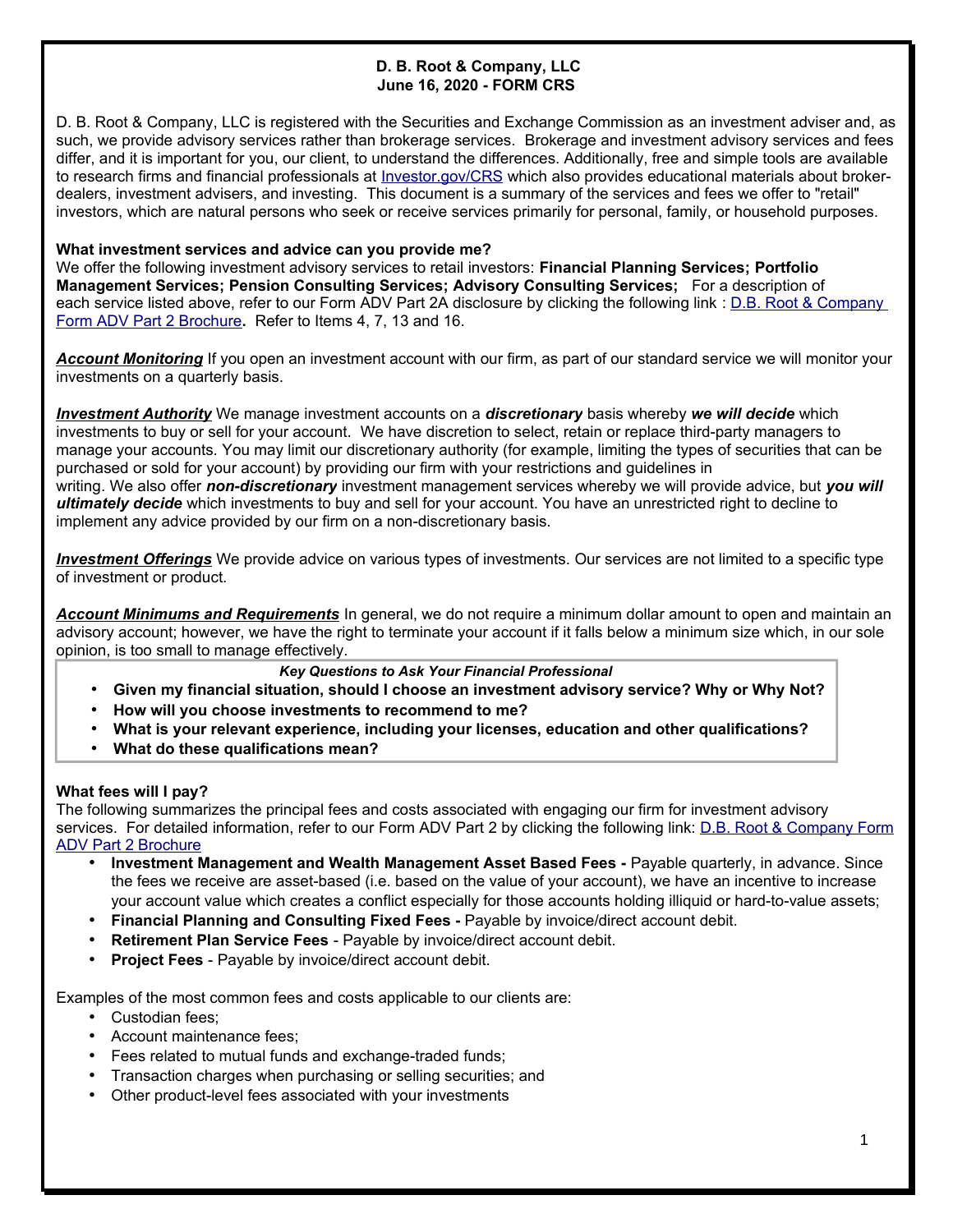# **D. B. Root & Company, LLC June 16, 2020 - FORM CRS**

D. B. Root & Company, LLC is registered with the Securities and Exchange Commission as an investment adviser and, as such, we provide advisory services rather than brokerage services. Brokerage and investment advisory services and fees differ, and it is important for you, our client, to understand the differences. Additionally, free and simple tools are available to research firms and financial professionals at Investor.gov/CRS which also provides educational materials about brokerdealers, investment advisers, and investing. This document is a summary of the services and fees we offer to "retail" investors, which are natural persons who seek or receive services primarily for personal, family, or household purposes.

### **What investment services and advice can you provide me?**

We offer the following investment advisory services to retail investors: **Financial Planning Services; Portfolio Management Services; Pension Consulting Services; Advisory Consulting Services;** For a description of each service listed above, refer to our Form ADV Part 2A disclosure by clicking the following link : D.B. Root & Company Form ADV Part 2 Brochure**.** Refer to Items 4, 7, 13 and 16.

*Account Monitoring* If you open an investment account with our firm, as part of our standard service we will monitor your investments on a quarterly basis.

*Investment Authority* We manage investment accounts on a *discretionary* basis whereby *we will decide* which investments to buy or sell for your account. We have discretion to select, retain or replace third-party managers to manage your accounts. You may limit our discretionary authority (for example, limiting the types of securities that can be purchased or sold for your account) by providing our firm with your restrictions and guidelines in writing. We also offer *non-discretionary* investment management services whereby we will provide advice, but *you will ultimately decide* which investments to buy and sell for your account. You have an unrestricted right to decline to implement any advice provided by our firm on a non-discretionary basis.

 *Investment Offerings* We provide advice on various types of investments. Our services are not limited to a specific type of investment or product.

*Account Minimums and Requirements* In general, we do not require a minimum dollar amount to open and maintain an advisory account; however, we have the right to terminate your account if it falls below a minimum size which, in our sole opinion, is too small to manage effectively.

### *Key Questions to Ask Your Financial Professional*

- **Given my financial situation, should I choose an investment advisory service? Why or Why Not?**
- **How will you choose investments to recommend to me?**
- **What is your relevant experience, including your licenses, education and other qualifications?**
- **What do these qualifications mean?**

## **What fees will I pay?**

The following summarizes the principal fees and costs associated with engaging our firm for investment advisory services. For detailed information, refer to our Form ADV Part 2 by clicking the following link: D.B. Root & Company Form ADV Part 2 Brochure

- **Investment Management and Wealth Management Asset Based Fees -** Payable quarterly, in advance. Since the fees we receive are asset-based (i.e. based on the value of your account), we have an incentive to increase your account value which creates a conflict especially for those accounts holding illiquid or hard-to-value assets;
- **Financial Planning and Consulting Fixed Fees -** Payable by invoice/direct account debit.
- **Retirement Plan Service Fees** Payable by invoice/direct account debit.
- **Project Fees** Payable by invoice/direct account debit.

Examples of the most common fees and costs applicable to our clients are:

- Custodian fees;
- Account maintenance fees;
- Fees related to mutual funds and exchange-traded funds;
- Transaction charges when purchasing or selling securities; and
- Other product-level fees associated with your investments